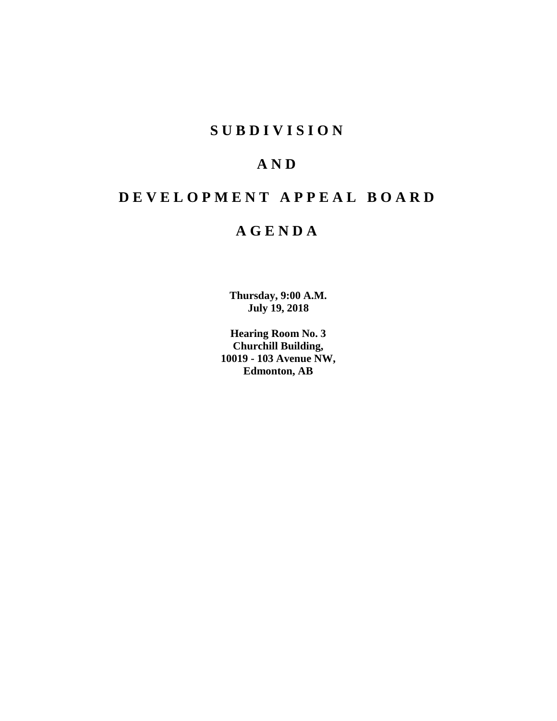# **SUBDIVISION**

# **AND**

# **DEVELOPMENT APPEAL BOARD**

# **AGENDA**

**Thursday, 9:00 A.M. July 19, 2018**

**Hearing Room No. 3 Churchill Building, 10019 - 103 Avenue NW, Edmonton, AB**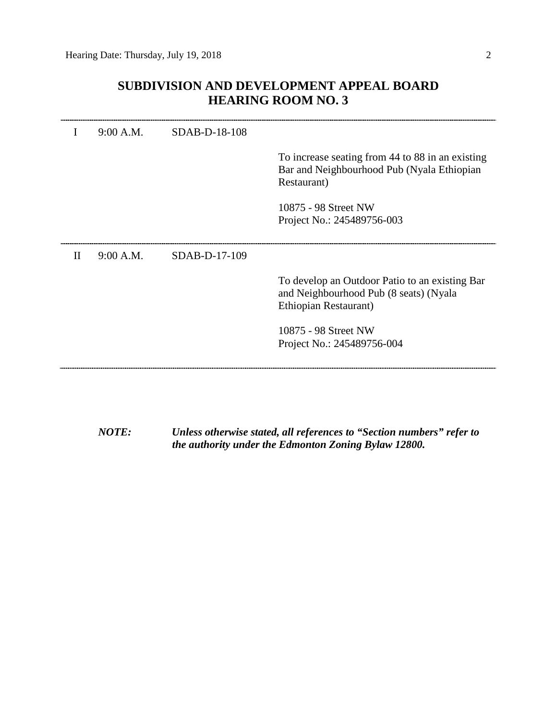l.

## **SUBDIVISION AND DEVELOPMENT APPEAL BOARD HEARING ROOM NO. 3**

|   | 9:00 A.M. | SDAB-D-18-108 |                                                                                                                   |
|---|-----------|---------------|-------------------------------------------------------------------------------------------------------------------|
|   |           |               | To increase seating from 44 to 88 in an existing<br>Bar and Neighbourhood Pub (Nyala Ethiopian<br>Restaurant)     |
|   |           |               | 10875 - 98 Street NW<br>Project No.: 245489756-003                                                                |
| Н | 9:00 A.M. | SDAB-D-17-109 |                                                                                                                   |
|   |           |               | To develop an Outdoor Patio to an existing Bar<br>and Neighbourhood Pub (8 seats) (Nyala<br>Ethiopian Restaurant) |
|   |           |               | 10875 - 98 Street NW<br>Project No.: 245489756-004                                                                |
|   |           |               |                                                                                                                   |

*NOTE: Unless otherwise stated, all references to "Section numbers" refer to the authority under the Edmonton Zoning Bylaw 12800.*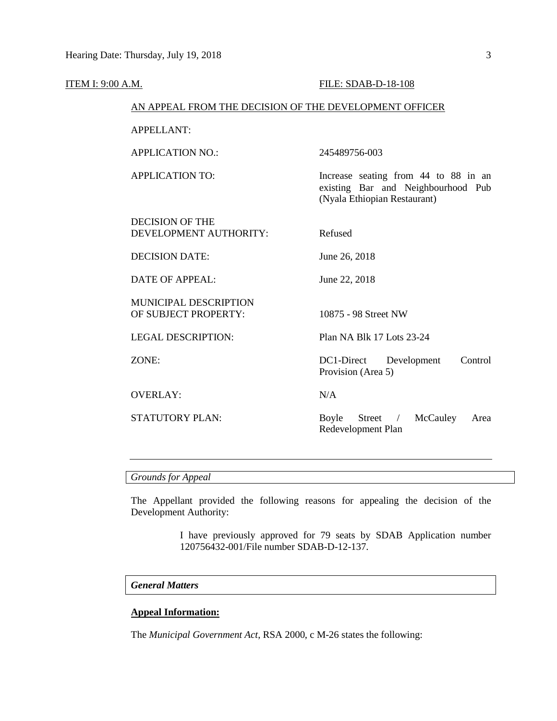| <b>ITEM I: 9:00 A.M.</b> |                                                        | FILE: SDAB-D-18-108                                                                                        |
|--------------------------|--------------------------------------------------------|------------------------------------------------------------------------------------------------------------|
|                          | AN APPEAL FROM THE DECISION OF THE DEVELOPMENT OFFICER |                                                                                                            |
|                          | APPELLANT:                                             |                                                                                                            |
|                          | <b>APPLICATION NO.:</b>                                | 245489756-003                                                                                              |
|                          | <b>APPLICATION TO:</b>                                 | Increase seating from 44 to 88 in an<br>existing Bar and Neighbourhood Pub<br>(Nyala Ethiopian Restaurant) |
|                          | <b>DECISION OF THE</b><br>DEVELOPMENT AUTHORITY:       | Refused                                                                                                    |
|                          | <b>DECISION DATE:</b>                                  | June 26, 2018                                                                                              |
|                          | <b>DATE OF APPEAL:</b>                                 | June 22, 2018                                                                                              |
|                          | MUNICIPAL DESCRIPTION<br>OF SUBJECT PROPERTY:          | 10875 - 98 Street NW                                                                                       |
|                          | <b>LEGAL DESCRIPTION:</b>                              | Plan NA Blk 17 Lots 23-24                                                                                  |
|                          | ZONE:                                                  | DC1-Direct<br>Development<br>Control<br>Provision (Area 5)                                                 |
|                          | <b>OVERLAY:</b>                                        | N/A                                                                                                        |
|                          | <b>STATUTORY PLAN:</b>                                 | McCauley<br>Boyle<br>Street<br>Area<br>$\sqrt{2}$<br>Redevelopment Plan                                    |
|                          |                                                        |                                                                                                            |

## *Grounds for Appeal*

The Appellant provided the following reasons for appealing the decision of the Development Authority:

> I have previously approved for 79 seats by SDAB Application number 120756432-001/File number SDAB-D-12-137.

## *General Matters*

## **Appeal Information:**

The *Municipal Government Act*, RSA 2000, c M-26 states the following: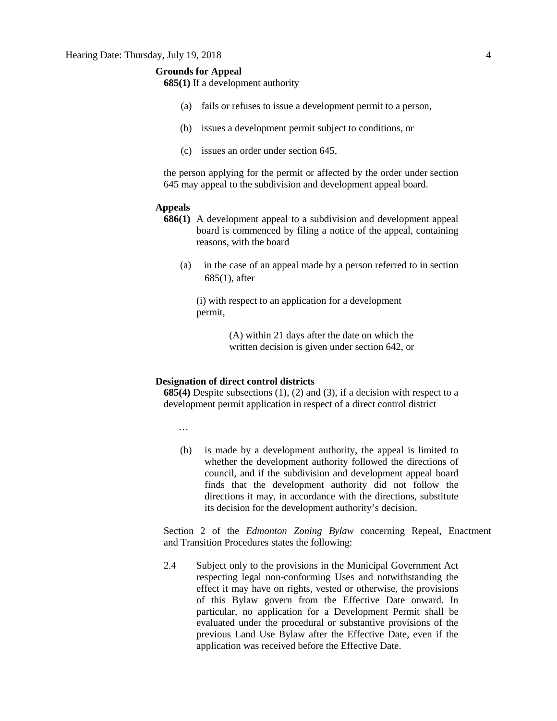## **Grounds for Appeal**

**685(1)** If a development authority

- (a) fails or refuses to issue a development permit to a person,
- (b) issues a development permit subject to conditions, or
- (c) issues an order under section 645,

the person applying for the permit or affected by the order under section 645 may appeal to the subdivision and development appeal board.

#### **Appeals**

- **686(1)** A development appeal to a subdivision and development appeal board is commenced by filing a notice of the appeal, containing reasons, with the board
	- (a) in the case of an appeal made by a person referred to in section 685(1), after

(i) with respect to an application for a development permit,

> (A) within 21 days after the date on which the written decision is given under section 642, or

## **Designation of direct control districts**

**685(4)** Despite subsections (1), (2) and (3), if a decision with respect to a development permit application in respect of a direct control district

…

(b) is made by a development authority, the appeal is limited to whether the development authority followed the directions of council, and if the subdivision and development appeal board finds that the development authority did not follow the directions it may, in accordance with the directions, substitute its decision for the development authority's decision.

Section 2 of the *Edmonton Zoning Bylaw* concerning Repeal, Enactment and Transition Procedures states the following:

2.4 Subject only to the provisions in the Municipal Government Act respecting legal non-conforming Uses and notwithstanding the effect it may have on rights, vested or otherwise, the provisions of this Bylaw govern from the Effective Date onward. In particular, no application for a Development Permit shall be evaluated under the procedural or substantive provisions of the previous Land Use Bylaw after the Effective Date, even if the application was received before the Effective Date.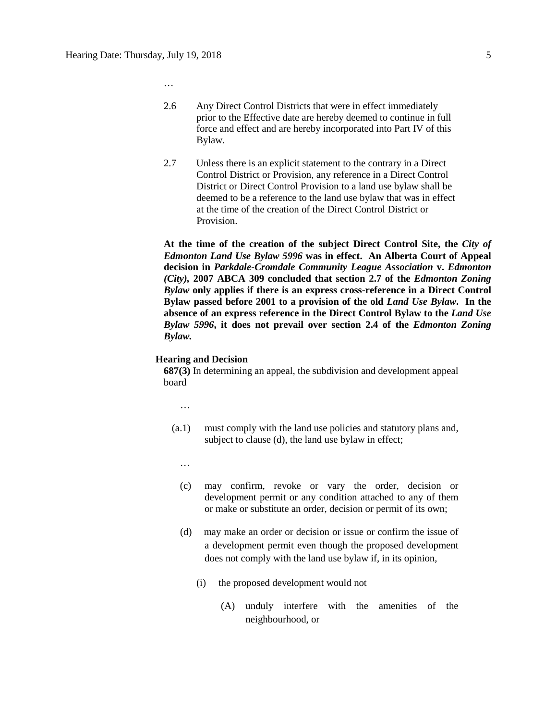- …
- 2.6 Any Direct Control Districts that were in effect immediately prior to the Effective date are hereby deemed to continue in full force and effect and are hereby incorporated into Part IV of this Bylaw.
- 2.7 Unless there is an explicit statement to the contrary in a Direct Control District or Provision, any reference in a Direct Control District or Direct Control Provision to a land use bylaw shall be deemed to be a reference to the land use bylaw that was in effect at the time of the creation of the Direct Control District or Provision.

**At the time of the creation of the subject Direct Control Site, the** *City of Edmonton Land Use Bylaw 5996* **was in effect. An Alberta Court of Appeal decision in** *Parkdale-Cromdale Community League Association* **v.** *Edmonton (City),* **2007 ABCA 309 concluded that section 2.7 of the** *Edmonton Zoning Bylaw* **only applies if there is an express cross-reference in a Direct Control Bylaw passed before 2001 to a provision of the old** *Land Use Bylaw***. In the absence of an express reference in the Direct Control Bylaw to the** *Land Use Bylaw 5996***, it does not prevail over section 2.4 of the** *Edmonton Zoning Bylaw.*

#### **Hearing and Decision**

**687(3)** In determining an appeal, the subdivision and development appeal board

…

- (a.1) must comply with the land use policies and statutory plans and, subject to clause (d), the land use bylaw in effect;
	- …
	- (c) may confirm, revoke or vary the order, decision or development permit or any condition attached to any of them or make or substitute an order, decision or permit of its own;
	- (d) may make an order or decision or issue or confirm the issue of a development permit even though the proposed development does not comply with the land use bylaw if, in its opinion,
		- (i) the proposed development would not
			- (A) unduly interfere with the amenities of the neighbourhood, or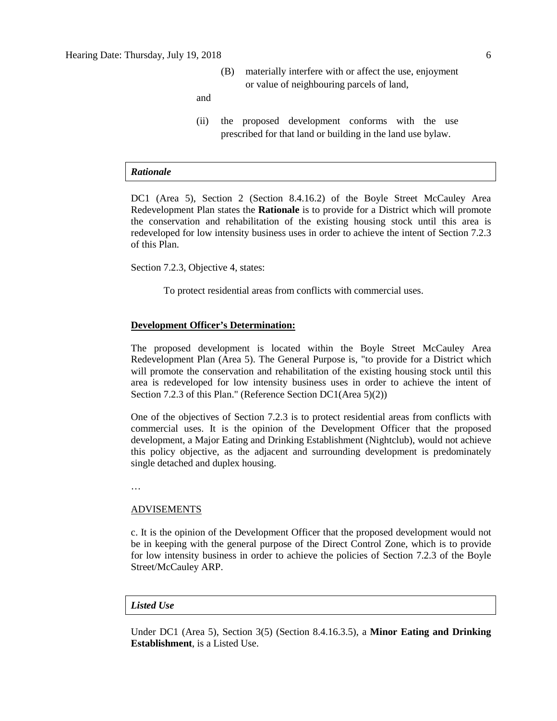(B) materially interfere with or affect the use, enjoyment or value of neighbouring parcels of land,

and

(ii) the proposed development conforms with the use prescribed for that land or building in the land use bylaw.

#### *Rationale*

DC1 (Area 5), Section 2 (Section 8.4.16.2) of the Boyle Street McCauley Area Redevelopment Plan states the **Rationale** is to provide for a District which will promote the conservation and rehabilitation of the existing housing stock until this area is redeveloped for low intensity business uses in order to achieve the intent of Section 7.2.3 of this Plan.

Section 7.2.3, Objective 4, states:

To protect residential areas from conflicts with commercial uses.

## **Development Officer's Determination:**

The proposed development is located within the Boyle Street McCauley Area Redevelopment Plan (Area 5). The General Purpose is, "to provide for a District which will promote the conservation and rehabilitation of the existing housing stock until this area is redeveloped for low intensity business uses in order to achieve the intent of Section 7.2.3 of this Plan." (Reference Section DC1(Area 5)(2))

One of the objectives of Section 7.2.3 is to protect residential areas from conflicts with commercial uses. It is the opinion of the Development Officer that the proposed development, a Major Eating and Drinking Establishment (Nightclub), would not achieve this policy objective, as the adjacent and surrounding development is predominately single detached and duplex housing.

…

#### ADVISEMENTS

c. It is the opinion of the Development Officer that the proposed development would not be in keeping with the general purpose of the Direct Control Zone, which is to provide for low intensity business in order to achieve the policies of Section 7.2.3 of the Boyle Street/McCauley ARP.

### *Listed Use*

Under DC1 (Area 5), Section 3(5) (Section 8.4.16.3.5), a **Minor Eating and Drinking Establishment**, is a Listed Use.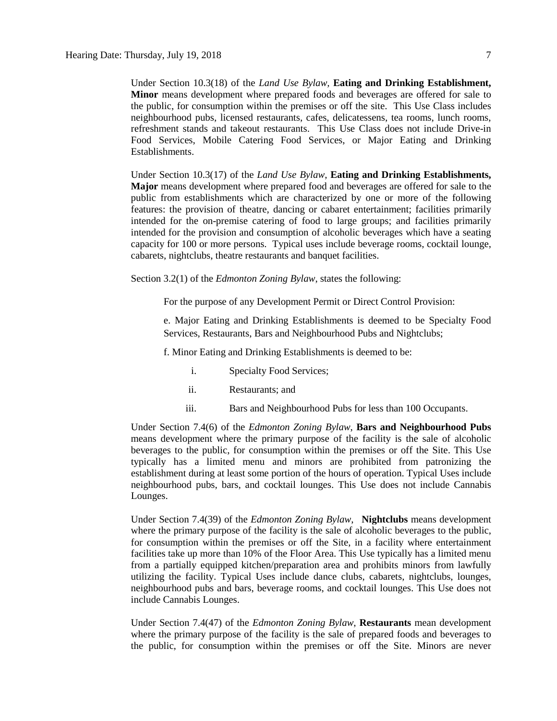Under Section 10.3(18) of the *Land Use Bylaw,* **Eating and Drinking Establishment, Minor** means development where prepared foods and beverages are offered for sale to the public, for consumption within the premises or off the site. This Use Class includes neighbourhood pubs, licensed restaurants, cafes, delicatessens, tea rooms, lunch rooms, refreshment stands and takeout restaurants. This Use Class does not include Drive-in Food Services, Mobile Catering Food Services, or Major Eating and Drinking Establishments.

Under Section 10.3(17) of the *Land Use Bylaw*, **Eating and Drinking Establishments, Major** means development where prepared food and beverages are offered for sale to the public from establishments which are characterized by one or more of the following features: the provision of theatre, dancing or cabaret entertainment; facilities primarily intended for the on-premise catering of food to large groups; and facilities primarily intended for the provision and consumption of alcoholic beverages which have a seating capacity for 100 or more persons. Typical uses include beverage rooms, cocktail lounge, cabarets, nightclubs, theatre restaurants and banquet facilities.

Section 3.2(1) of the *Edmonton Zoning Bylaw*, states the following:

For the purpose of any Development Permit or Direct Control Provision:

e. Major Eating and Drinking Establishments is deemed to be Specialty Food Services, Restaurants, Bars and Neighbourhood Pubs and Nightclubs;

f. Minor Eating and Drinking Establishments is deemed to be:

- i. Specialty Food Services;
- ii. Restaurants; and
- iii. Bars and Neighbourhood Pubs for less than 100 Occupants.

Under Section 7.4(6) of the *Edmonton Zoning Bylaw*, **Bars and Neighbourhood Pubs**  means development where the primary purpose of the facility is the sale of alcoholic beverages to the public, for consumption within the premises or off the Site. This Use typically has a limited menu and minors are prohibited from patronizing the establishment during at least some portion of the hours of operation. Typical Uses include neighbourhood pubs, bars, and cocktail lounges. This Use does not include Cannabis Lounges.

Under Section 7.4(39) of the *Edmonton Zoning Bylaw*, **Nightclubs** means development where the primary purpose of the facility is the sale of alcoholic beverages to the public, for consumption within the premises or off the Site, in a facility where entertainment facilities take up more than 10% of the Floor Area. This Use typically has a limited menu from a partially equipped kitchen/preparation area and prohibits minors from lawfully utilizing the facility. Typical Uses include dance clubs, cabarets, nightclubs, lounges, neighbourhood pubs and bars, beverage rooms, and cocktail lounges. This Use does not include Cannabis Lounges.

Under Section 7.4(47) of the *Edmonton Zoning Bylaw*, **Restaurants** mean development where the primary purpose of the facility is the sale of prepared foods and beverages to the public, for consumption within the premises or off the Site. Minors are never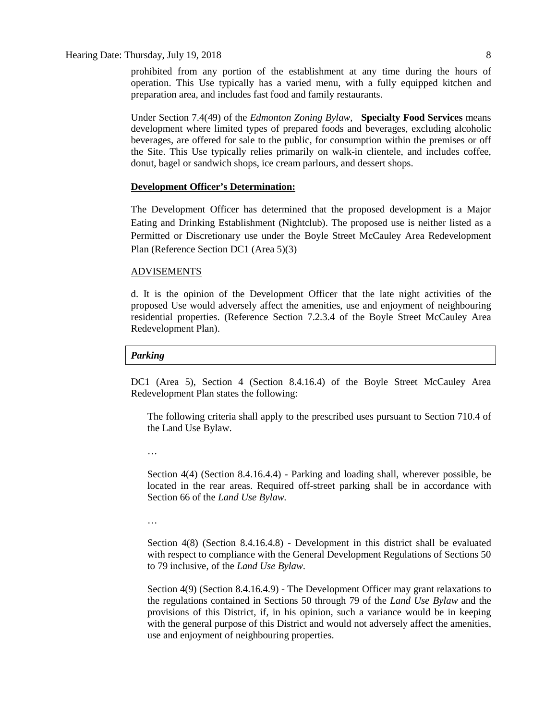Hearing Date: Thursday, July 19, 2018 8

prohibited from any portion of the establishment at any time during the hours of operation. This Use typically has a varied menu, with a fully equipped kitchen and preparation area, and includes fast food and family restaurants.

Under Section 7.4(49) of the *Edmonton Zoning Bylaw*, **Specialty Food Services** means development where limited types of prepared foods and beverages, excluding alcoholic beverages, are offered for sale to the public, for consumption within the premises or off the Site. This Use typically relies primarily on walk-in clientele, and includes coffee, donut, bagel or sandwich shops, ice cream parlours, and dessert shops.

## **Development Officer's Determination:**

The Development Officer has determined that the proposed development is a Major Eating and Drinking Establishment (Nightclub). The proposed use is neither listed as a Permitted or Discretionary use under the Boyle Street McCauley Area Redevelopment Plan (Reference Section DC1 (Area 5)(3)

#### ADVISEMENTS

d. It is the opinion of the Development Officer that the late night activities of the proposed Use would adversely affect the amenities, use and enjoyment of neighbouring residential properties. (Reference Section 7.2.3.4 of the Boyle Street McCauley Area Redevelopment Plan).

### *Parking*

DC1 (Area 5), Section 4 (Section 8.4.16.4) of the Boyle Street McCauley Area Redevelopment Plan states the following:

The following criteria shall apply to the prescribed uses pursuant to Section 710.4 of the Land Use Bylaw.

…

Section 4(4) (Section 8.4.16.4.4) - Parking and loading shall, wherever possible, be located in the rear areas. Required off-street parking shall be in accordance with Section 66 of the *Land Use Bylaw.*

…

Section 4(8) (Section 8.4.16.4.8) - Development in this district shall be evaluated with respect to compliance with the General Development Regulations of Sections 50 to 79 inclusive, of the *Land Use Bylaw*.

Section 4(9) (Section 8.4.16.4.9) - The Development Officer may grant relaxations to the regulations contained in Sections 50 through 79 of the *Land Use Bylaw* and the provisions of this District, if, in his opinion, such a variance would be in keeping with the general purpose of this District and would not adversely affect the amenities, use and enjoyment of neighbouring properties.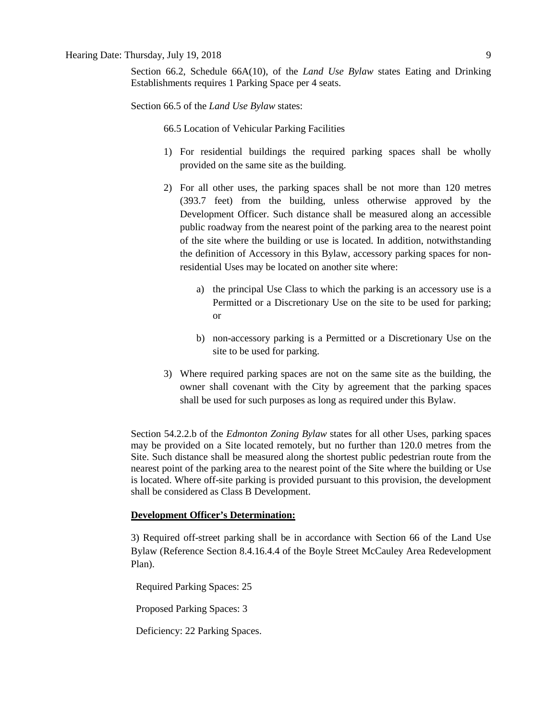Section 66.2, Schedule 66A(10), of the *Land Use Bylaw* states Eating and Drinking Establishments requires 1 Parking Space per 4 seats.

Section 66.5 of the *Land Use Bylaw* states:

66.5 Location of Vehicular Parking Facilities

- 1) For residential buildings the required parking spaces shall be wholly provided on the same site as the building.
- 2) For all other uses, the parking spaces shall be not more than 120 metres (393.7 feet) from the building, unless otherwise approved by the Development Officer. Such distance shall be measured along an accessible public roadway from the nearest point of the parking area to the nearest point of the site where the building or use is located. In addition, notwithstanding the definition of Accessory in this Bylaw, accessory parking spaces for nonresidential Uses may be located on another site where:
	- a) the principal Use Class to which the parking is an accessory use is a Permitted or a Discretionary Use on the site to be used for parking; or
	- b) non-accessory parking is a Permitted or a Discretionary Use on the site to be used for parking.
- 3) Where required parking spaces are not on the same site as the building, the owner shall covenant with the City by agreement that the parking spaces shall be used for such purposes as long as required under this Bylaw.

Section 54.2.2.b of the *Edmonton Zoning Bylaw* states for all other Uses, parking spaces may be provided on a Site located remotely, but no further than 120.0 metres from the Site. Such distance shall be measured along the shortest public pedestrian route from the nearest point of the parking area to the nearest point of the Site where the building or Use is located. Where off-site parking is provided pursuant to this provision, the development shall be considered as Class B Development.

## **Development Officer's Determination:**

3) Required off-street parking shall be in accordance with Section 66 of the Land Use Bylaw (Reference Section 8.4.16.4.4 of the Boyle Street McCauley Area Redevelopment Plan).

Required Parking Spaces: 25

Proposed Parking Spaces: 3

Deficiency: 22 Parking Spaces.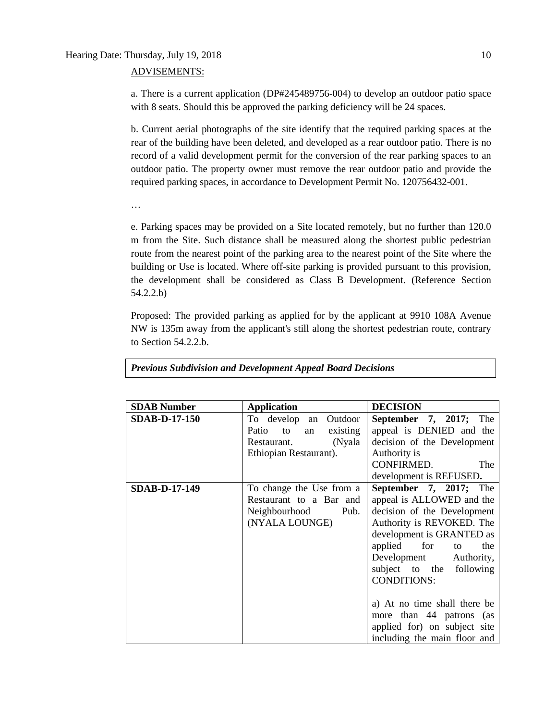## Hearing Date: Thursday, July 19, 2018 10

## ADVISEMENTS:

a. There is a current application (DP#245489756-004) to develop an outdoor patio space with 8 seats. Should this be approved the parking deficiency will be 24 spaces.

b. Current aerial photographs of the site identify that the required parking spaces at the rear of the building have been deleted, and developed as a rear outdoor patio. There is no record of a valid development permit for the conversion of the rear parking spaces to an outdoor patio. The property owner must remove the rear outdoor patio and provide the required parking spaces, in accordance to Development Permit No. 120756432-001.

…

e. Parking spaces may be provided on a Site located remotely, but no further than 120.0 m from the Site. Such distance shall be measured along the shortest public pedestrian route from the nearest point of the parking area to the nearest point of the Site where the building or Use is located. Where off-site parking is provided pursuant to this provision, the development shall be considered as Class B Development. (Reference Section 54.2.2.b)

Proposed: The provided parking as applied for by the applicant at 9910 108A Avenue NW is 135m away from the applicant's still along the shortest pedestrian route, contrary to Section 54.2.2.b.

| <b>SDAB Number</b>   | <b>Application</b>         | <b>DECISION</b>               |
|----------------------|----------------------------|-------------------------------|
|                      |                            |                               |
| <b>SDAB-D-17-150</b> | To develop an Outdoor      | September 7, 2017; The        |
|                      | Patio to<br>existing<br>an | appeal is DENIED and the      |
|                      | (Nyala<br>Restaurant.      | decision of the Development   |
|                      | Ethiopian Restaurant).     | Authority is                  |
|                      |                            | CONFIRMED.<br>The             |
|                      |                            | development is REFUSED.       |
| <b>SDAB-D-17-149</b> | To change the Use from a   | <b>September 7, 2017;</b> The |
|                      | Restaurant to a Bar and    | appeal is ALLOWED and the     |
|                      | Neighbourhood<br>Pub.      | decision of the Development   |
|                      | (NYALA LOUNGE)             | Authority is REVOKED. The     |
|                      |                            | development is GRANTED as     |
|                      |                            | applied<br>for<br>the<br>to   |
|                      |                            | Development Authority,        |
|                      |                            | subject to the following      |
|                      |                            | <b>CONDITIONS:</b>            |
|                      |                            |                               |
|                      |                            | a) At no time shall there be  |
|                      |                            | more than 44 patrons (as      |
|                      |                            | applied for) on subject site  |
|                      |                            | including the main floor and  |

*Previous Subdivision and Development Appeal Board Decisions*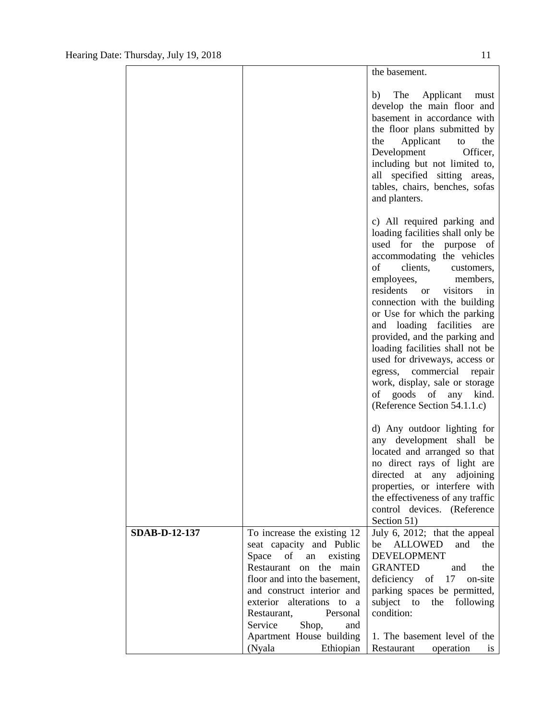|                      |                                                                                                                                                                                                                                                                           | the basement.                                                                                                                                                                                                                                                                                                                                                                                                                                                                                                                                            |
|----------------------|---------------------------------------------------------------------------------------------------------------------------------------------------------------------------------------------------------------------------------------------------------------------------|----------------------------------------------------------------------------------------------------------------------------------------------------------------------------------------------------------------------------------------------------------------------------------------------------------------------------------------------------------------------------------------------------------------------------------------------------------------------------------------------------------------------------------------------------------|
|                      |                                                                                                                                                                                                                                                                           | The Applicant<br>b)<br>must<br>develop the main floor and<br>basement in accordance with<br>the floor plans submitted by<br>the<br>Applicant<br>the<br>to<br>Development<br>Officer,<br>including but not limited to,<br>all specified sitting areas,<br>tables, chairs, benches, sofas<br>and planters.                                                                                                                                                                                                                                                 |
|                      |                                                                                                                                                                                                                                                                           | c) All required parking and<br>loading facilities shall only be<br>used for the<br>purpose of<br>accommodating the vehicles<br>of<br>clients,<br>customers,<br>employees,<br>members,<br>residents or<br>visitors<br>in<br>connection with the building<br>or Use for which the parking<br>and loading facilities<br>are<br>provided, and the parking and<br>loading facilities shall not be<br>used for driveways, access or<br>egress, commercial<br>repair<br>work, display, sale or storage<br>of goods of any kind.<br>(Reference Section 54.1.1.c) |
|                      |                                                                                                                                                                                                                                                                           | d) Any outdoor lighting for<br>any development shall<br>be<br>located and arranged so that<br>no direct rays of light are<br>directed at any adjoining<br>properties, or interfere with<br>the effectiveness of any traffic<br>control devices. (Reference<br>Section 51)                                                                                                                                                                                                                                                                                |
| <b>SDAB-D-12-137</b> | To increase the existing 12<br>seat capacity and Public<br>Space<br>of<br>existing<br>an<br>Restaurant<br>on the<br>main<br>floor and into the basement,<br>and construct interior and<br>exterior alterations to a<br>Personal<br>Restaurant,<br>Service<br>Shop,<br>and | July 6, 2012; that the appeal<br><b>ALLOWED</b><br>be<br>and<br>the<br><b>DEVELOPMENT</b><br><b>GRANTED</b><br>the<br>and<br>of $17$<br>deficiency<br>on-site<br>parking spaces be permitted,<br>subject to<br>the<br>following<br>condition:                                                                                                                                                                                                                                                                                                            |
|                      | Apartment House building<br>(Nyala<br>Ethiopian                                                                                                                                                                                                                           | 1. The basement level of the<br>Restaurant<br>operation<br><b>1S</b>                                                                                                                                                                                                                                                                                                                                                                                                                                                                                     |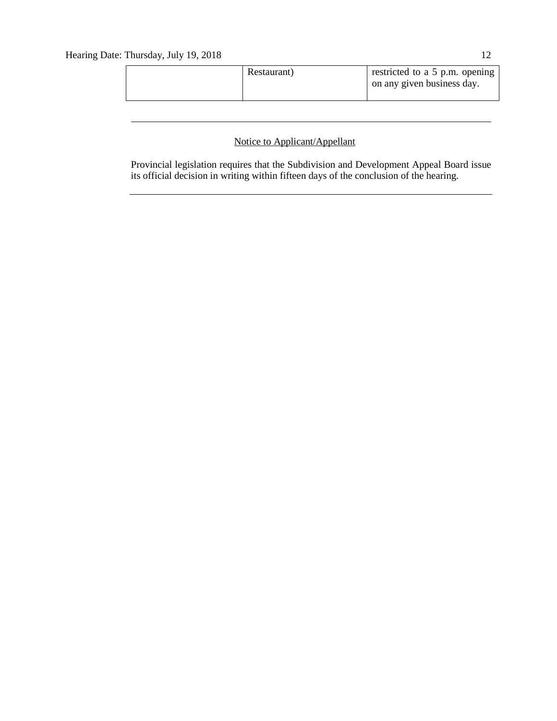| on any given business day. |  |
|----------------------------|--|
|----------------------------|--|

## Notice to Applicant/Appellant

Provincial legislation requires that the Subdivision and Development Appeal Board issue its official decision in writing within fifteen days of the conclusion of the hearing.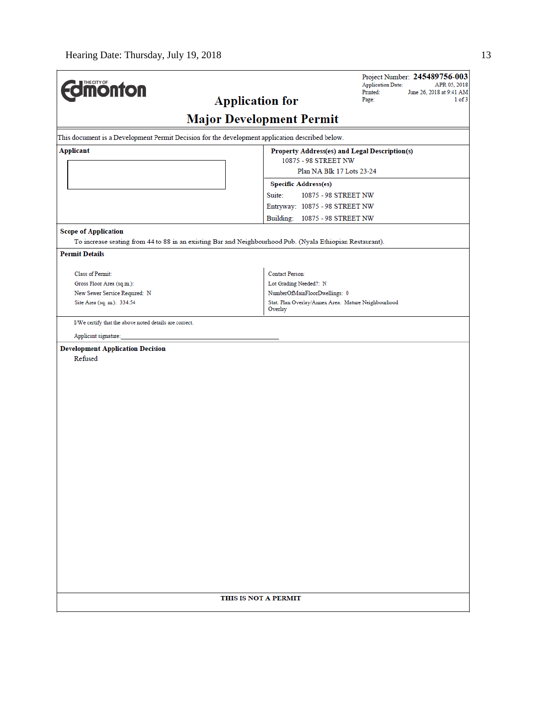| <b>dimonton</b>                                                                                 | Project Number: 245489756-003<br><b>Application Date:</b><br>APR 05, 2018<br>Printed:<br>June 26, 2018 at 9:41 AM<br>1 of 3 |
|-------------------------------------------------------------------------------------------------|-----------------------------------------------------------------------------------------------------------------------------|
|                                                                                                 | <b>Application for</b><br>Page:                                                                                             |
|                                                                                                 | <b>Major Development Permit</b>                                                                                             |
| This document is a Development Permit Decision for the development application described below. |                                                                                                                             |
| <b>Applicant</b>                                                                                | Property Address(es) and Legal Description(s)<br>10875 - 98 STREET NW                                                       |
|                                                                                                 | Plan NA Blk 17 Lots 23-24                                                                                                   |
|                                                                                                 | <b>Specific Address(es)</b>                                                                                                 |
|                                                                                                 | Suite:<br>10875 - 98 STREET NW                                                                                              |
|                                                                                                 | Entryway: 10875 - 98 STREET NW                                                                                              |
|                                                                                                 | Building: 10875 - 98 STREET NW                                                                                              |
| <b>Scope of Application</b>                                                                     |                                                                                                                             |
| <b>Permit Details</b>                                                                           | To increase seating from 44 to 88 in an existing Bar and Neighbourhood Pub. (Nyala Ethiopian Restaurant).                   |
|                                                                                                 |                                                                                                                             |
| Class of Permit:                                                                                | <b>Contact Person:</b>                                                                                                      |
| Gross Floor Area (sq.m.):                                                                       | Lot Grading Needed?: N                                                                                                      |
| New Sewer Service Required: N<br>Site Area (sq. m.): 334.54                                     | NumberOfMainFloorDwellings: 0<br>Stat. Plan Overlay/Annex Area: Mature Neighbourhood                                        |
|                                                                                                 | Overlay                                                                                                                     |
| I/We certify that the above noted details are correct.                                          |                                                                                                                             |
| Applicant signature:                                                                            |                                                                                                                             |
| <b>Development Application Decision</b><br>Refused                                              |                                                                                                                             |
|                                                                                                 | THIS IS NOT A PERMIT                                                                                                        |
|                                                                                                 |                                                                                                                             |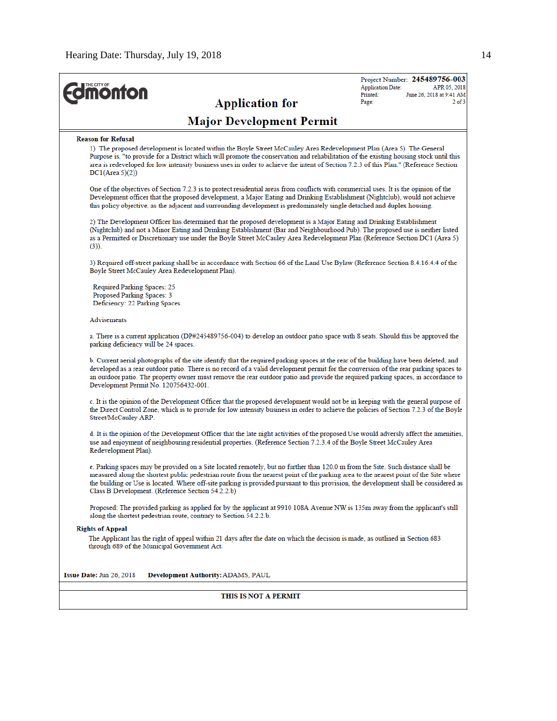| <b><i><u><u><b>M</b>onton</u></u></i></b><br><b>Application for</b>                                                                                                                                                                                                                                                                                                                                                                                                    | Project Number: 245489756-003<br><b>Application Date:</b><br>APR 05, 2018<br>Printed:<br>June 26, 2018 at 9:41 AM<br>$2$ of $3$<br>Page: |  |  |  |
|------------------------------------------------------------------------------------------------------------------------------------------------------------------------------------------------------------------------------------------------------------------------------------------------------------------------------------------------------------------------------------------------------------------------------------------------------------------------|------------------------------------------------------------------------------------------------------------------------------------------|--|--|--|
| <b>Major Development Permit</b>                                                                                                                                                                                                                                                                                                                                                                                                                                        |                                                                                                                                          |  |  |  |
| <b>Reason for Refusal</b><br>1) The proposed development is located within the Boyle Street McCauley Area Redevelopment Plan (Area 5). The General<br>Purpose is, "to provide for a District which will promote the conservation and rehabilitation of the existing housing stock until this<br>area is redeveloped for low intensity business uses in order to achieve the intent of Section 7.2.3 of this Plan." (Reference Section<br>DC1(Area 5)(2))               |                                                                                                                                          |  |  |  |
| One of the objectives of Section 7.2.3 is to protect residential areas from conflicts with commercial uses. It is the opinion of the<br>Development officer that the proposed development, a Major Eating and Drinking Establishment (Nightclub), would not achieve<br>this policy objective, as the adjacent and surrounding development is predominately single detached and duplex housing.                                                                         |                                                                                                                                          |  |  |  |
| 2) The Development Officer has determined that the proposed development is a Major Eating and Drinking Establishment<br>(Nightclub) and not a Minor Eating and Drinking Establishment (Bar and Neighbourhood Pub). The proposed use is neither listed<br>as a Permitted or Discretionary use under the Boyle Street McCauley Area Redevelopment Plan (Reference Section DC1 (Area 5)<br>$(3)$ ).                                                                       |                                                                                                                                          |  |  |  |
| 3) Required off-street parking shall be in accordance with Section 66 of the Land Use Bylaw (Reference Section 8.4.16.4.4 of the<br>Boyle Street McCauley Area Redevelopment Plan).                                                                                                                                                                                                                                                                                    |                                                                                                                                          |  |  |  |
| Required Parking Spaces: 25<br>Proposed Parking Spaces: 3<br>Deficiency: 22 Parking Spaces.                                                                                                                                                                                                                                                                                                                                                                            |                                                                                                                                          |  |  |  |
| Advisements                                                                                                                                                                                                                                                                                                                                                                                                                                                            |                                                                                                                                          |  |  |  |
| a. There is a current application (DP#245489756-004) to develop an outdoor patio space with 8 seats. Should this be approved the<br>parking deficiency will be 24 spaces.                                                                                                                                                                                                                                                                                              |                                                                                                                                          |  |  |  |
| b. Current aerial photographs of the site identify that the required parking spaces at the rear of the building have been deleted, and<br>developed as a rear outdoor patio. There is no record of a valid development permit for the conversion of the rear parking spaces to<br>an outdoor patio. The property owner must remove the rear outdoor patio and provide the required parking spaces, in accordance to<br>Development Permit No. 120756432-001.           |                                                                                                                                          |  |  |  |
| c. It is the opinion of the Development Officer that the proposed development would not be in keeping with the general purpose of<br>the Direct Control Zone, which is to provide for low intensity business in order to achieve the policies of Section 7.2.3 of the Boyle<br>Street/McCauley ARP.                                                                                                                                                                    |                                                                                                                                          |  |  |  |
| d. It is the opinion of the Development Officer that the late night activities of the proposed Use would adversly affect the amenities,<br>use and enjoyment of neighbouring residential properties. (Reference Section 7.2.3.4 of the Boyle Street McCauley Area<br>Redevelopment Plan).                                                                                                                                                                              |                                                                                                                                          |  |  |  |
| e. Parking spaces may be provided on a Site located remotely, but no further than 120.0 m from the Site. Such distance shall be<br>measured along the shortest public pedestrian route from the nearest point of the parking area to the nearest point of the Site where<br>the building or Use is located. Where off-site parking is provided pursuant to this provision, the development shall be considered as<br>Class B Development. (Reference Section 54.2.2.b) |                                                                                                                                          |  |  |  |
| Proposed: The provided parking as applied for by the applicant at 9910 108A Avenue NW is 135m away from the applicant's still<br>along the shortest pedestrian route, contrary to Section 54.2.2.b.                                                                                                                                                                                                                                                                    |                                                                                                                                          |  |  |  |
| <b>Rights of Appeal</b><br>The Applicant has the right of appeal within 21 days after the date on which the decision is made, as outlined in Section 683<br>through 689 of the Municipal Government Act.                                                                                                                                                                                                                                                               |                                                                                                                                          |  |  |  |
| Issue Date: Jun 26, 2018<br>Development Authority: ADAMS, PAUL                                                                                                                                                                                                                                                                                                                                                                                                         |                                                                                                                                          |  |  |  |
| THIS IS NOT A PERMIT                                                                                                                                                                                                                                                                                                                                                                                                                                                   |                                                                                                                                          |  |  |  |
|                                                                                                                                                                                                                                                                                                                                                                                                                                                                        |                                                                                                                                          |  |  |  |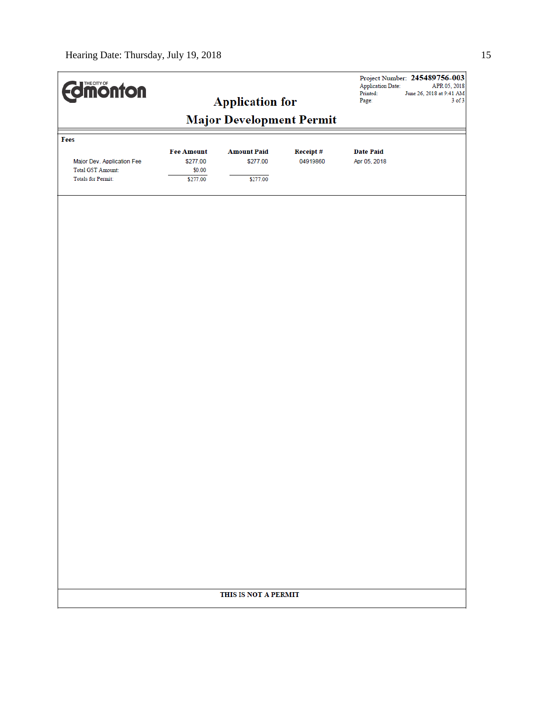| <b>Edimonton</b>           |                   |                                                           |          | Application Date:<br>Printed:<br>Page: | Project Number: 245489756-003<br>APR 05, 2018<br>June 26, 2018 at 9:41 AM<br>$3$ of $3$ |
|----------------------------|-------------------|-----------------------------------------------------------|----------|----------------------------------------|-----------------------------------------------------------------------------------------|
|                            |                   | <b>Application for</b><br><b>Major Development Permit</b> |          |                                        |                                                                                         |
|                            |                   |                                                           |          |                                        |                                                                                         |
| Fees                       | <b>Fee Amount</b> | <b>Amount Paid</b>                                        | Receipt# | <b>Date Paid</b>                       |                                                                                         |
| Major Dev. Application Fee | \$277.00          | \$277.00                                                  | 04919860 | Apr 05, 2018                           |                                                                                         |
| <b>Total GST Amount:</b>   | \$0.00            |                                                           |          |                                        |                                                                                         |
| <b>Totals for Permit:</b>  | \$277.00          | \$277.00                                                  |          |                                        |                                                                                         |
|                            |                   |                                                           |          |                                        |                                                                                         |
|                            |                   |                                                           |          |                                        |                                                                                         |
|                            |                   |                                                           |          |                                        |                                                                                         |
|                            |                   |                                                           |          |                                        |                                                                                         |
|                            |                   |                                                           |          |                                        |                                                                                         |
|                            |                   |                                                           |          |                                        |                                                                                         |
|                            |                   |                                                           |          |                                        |                                                                                         |
|                            |                   |                                                           |          |                                        |                                                                                         |
|                            |                   |                                                           |          |                                        |                                                                                         |
|                            |                   |                                                           |          |                                        |                                                                                         |
|                            |                   |                                                           |          |                                        |                                                                                         |
|                            |                   |                                                           |          |                                        |                                                                                         |
|                            |                   |                                                           |          |                                        |                                                                                         |
|                            |                   |                                                           |          |                                        |                                                                                         |
|                            |                   |                                                           |          |                                        |                                                                                         |
|                            |                   |                                                           |          |                                        |                                                                                         |
|                            |                   |                                                           |          |                                        |                                                                                         |
|                            |                   |                                                           |          |                                        |                                                                                         |
|                            |                   |                                                           |          |                                        |                                                                                         |
|                            |                   |                                                           |          |                                        |                                                                                         |
|                            |                   |                                                           |          |                                        |                                                                                         |
|                            |                   |                                                           |          |                                        |                                                                                         |
|                            |                   |                                                           |          |                                        |                                                                                         |
|                            |                   |                                                           |          |                                        |                                                                                         |
|                            |                   |                                                           |          |                                        |                                                                                         |
|                            |                   | THIS IS NOT A PERMIT                                      |          |                                        |                                                                                         |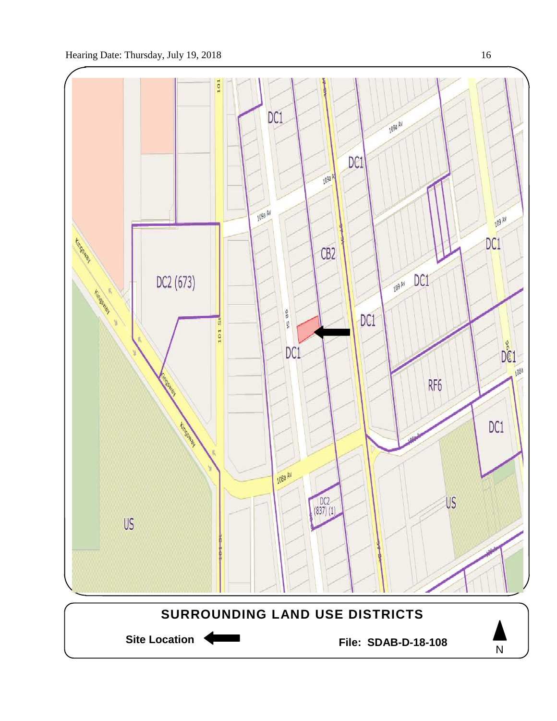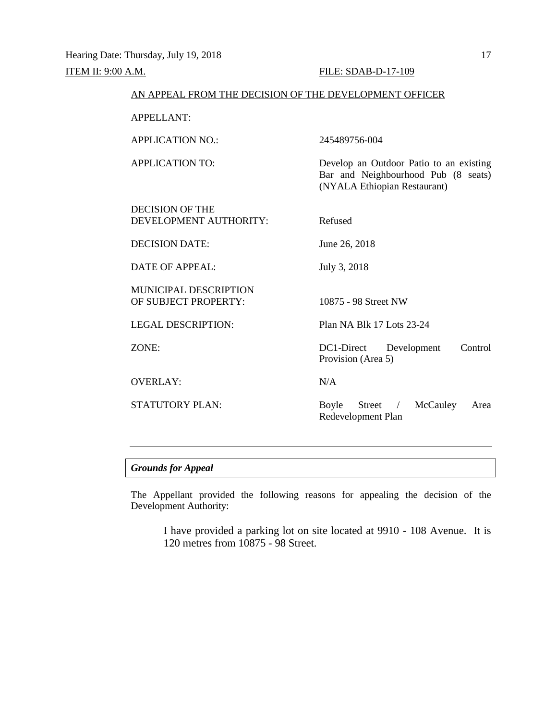| AN APPEAL FROM THE DECISION OF THE DEVELOPMENT OFFICER |                                                                                                                |  |
|--------------------------------------------------------|----------------------------------------------------------------------------------------------------------------|--|
| <b>APPELLANT:</b>                                      |                                                                                                                |  |
| <b>APPLICATION NO.:</b>                                | 245489756-004                                                                                                  |  |
| <b>APPLICATION TO:</b>                                 | Develop an Outdoor Patio to an existing<br>Bar and Neighbourhood Pub (8 seats)<br>(NYALA Ethiopian Restaurant) |  |
| <b>DECISION OF THE</b><br>DEVELOPMENT AUTHORITY:       | Refused                                                                                                        |  |
| <b>DECISION DATE:</b>                                  | June 26, 2018                                                                                                  |  |
| <b>DATE OF APPEAL:</b>                                 | July 3, 2018                                                                                                   |  |
| <b>MUNICIPAL DESCRIPTION</b><br>OF SUBJECT PROPERTY:   | 10875 - 98 Street NW                                                                                           |  |
| <b>LEGAL DESCRIPTION:</b>                              | Plan NA Blk 17 Lots 23-24                                                                                      |  |
| ZONE:                                                  | Control<br>DC1-Direct<br>Development<br>Provision (Area 5)                                                     |  |
| <b>OVERLAY:</b>                                        | N/A                                                                                                            |  |
| <b>STATUTORY PLAN:</b>                                 | Boyle<br>McCauley<br>Street $\frac{1}{2}$<br>Area<br>Redevelopment Plan                                        |  |

## *Grounds for Appeal*

The Appellant provided the following reasons for appealing the decision of the Development Authority:

I have provided a parking lot on site located at 9910 - 108 Avenue. It is 120 metres from 10875 - 98 Street.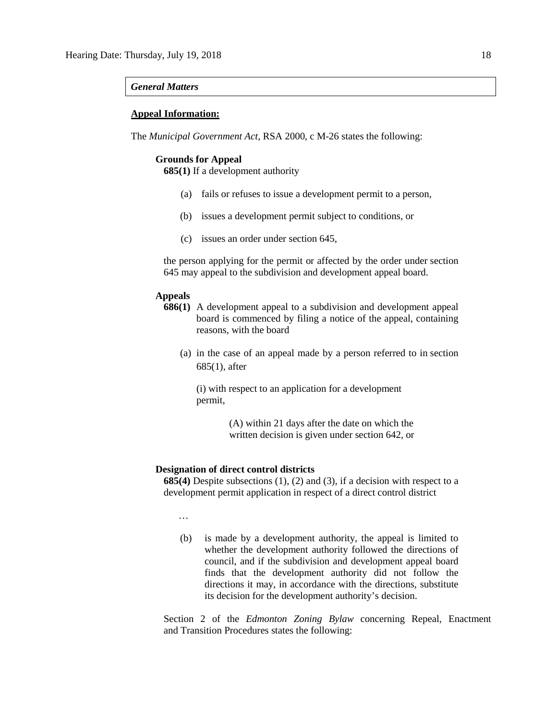## *General Matters*

## **Appeal Information:**

The *Municipal Government Act*, RSA 2000, c M-26 states the following:

## **Grounds for Appeal**

**685(1)** If a development authority

- (a) fails or refuses to issue a development permit to a person,
- (b) issues a development permit subject to conditions, or
- (c) issues an order under section 645,

the person applying for the permit or affected by the order under section 645 may appeal to the subdivision and development appeal board.

## **Appeals**

- **686(1)** A development appeal to a subdivision and development appeal board is commenced by filing a notice of the appeal, containing reasons, with the board
	- (a) in the case of an appeal made by a person referred to in section 685(1), after

(i) with respect to an application for a development permit,

> (A) within 21 days after the date on which the written decision is given under section 642, or

#### **Designation of direct control districts**

**685(4)** Despite subsections (1), (2) and (3), if a decision with respect to a development permit application in respect of a direct control district

…

(b) is made by a development authority, the appeal is limited to whether the development authority followed the directions of council, and if the subdivision and development appeal board finds that the development authority did not follow the directions it may, in accordance with the directions, substitute its decision for the development authority's decision.

Section 2 of the *Edmonton Zoning Bylaw* concerning Repeal, Enactment and Transition Procedures states the following: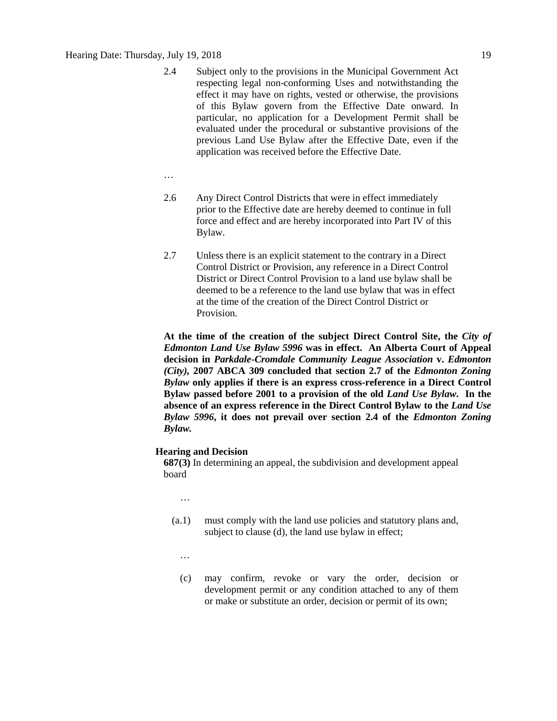- 2.4 Subject only to the provisions in the Municipal Government Act respecting legal non-conforming Uses and notwithstanding the effect it may have on rights, vested or otherwise, the provisions of this Bylaw govern from the Effective Date onward. In particular, no application for a Development Permit shall be evaluated under the procedural or substantive provisions of the previous Land Use Bylaw after the Effective Date, even if the application was received before the Effective Date.
- …
- 2.6 Any Direct Control Districts that were in effect immediately prior to the Effective date are hereby deemed to continue in full force and effect and are hereby incorporated into Part IV of this Bylaw.
- 2.7 Unless there is an explicit statement to the contrary in a Direct Control District or Provision, any reference in a Direct Control District or Direct Control Provision to a land use bylaw shall be deemed to be a reference to the land use bylaw that was in effect at the time of the creation of the Direct Control District or **Provision**

**At the time of the creation of the subject Direct Control Site, the** *City of Edmonton Land Use Bylaw 5996* **was in effect. An Alberta Court of Appeal decision in** *Parkdale-Cromdale Community League Association* **v.** *Edmonton (City),* **2007 ABCA 309 concluded that section 2.7 of the** *Edmonton Zoning Bylaw* **only applies if there is an express cross-reference in a Direct Control Bylaw passed before 2001 to a provision of the old** *Land Use Bylaw***. In the absence of an express reference in the Direct Control Bylaw to the** *Land Use Bylaw 5996***, it does not prevail over section 2.4 of the** *Edmonton Zoning Bylaw.*

### **Hearing and Decision**

**687(3)** In determining an appeal, the subdivision and development appeal board

…

- (a.1) must comply with the land use policies and statutory plans and, subject to clause (d), the land use bylaw in effect;
	- …
	- (c) may confirm, revoke or vary the order, decision or development permit or any condition attached to any of them or make or substitute an order, decision or permit of its own;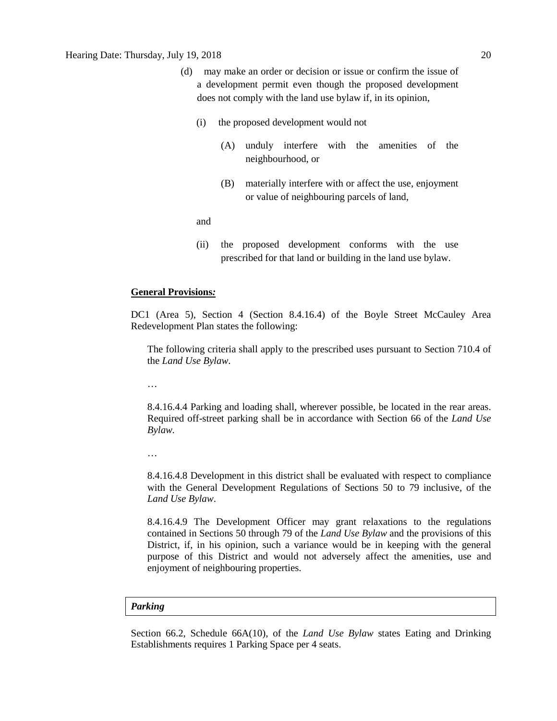- (d) may make an order or decision or issue or confirm the issue of a development permit even though the proposed development does not comply with the land use bylaw if, in its opinion,
	- (i) the proposed development would not
		- (A) unduly interfere with the amenities of the neighbourhood, or
		- (B) materially interfere with or affect the use, enjoyment or value of neighbouring parcels of land,

and

(ii) the proposed development conforms with the use prescribed for that land or building in the land use bylaw.

## **General Provisions***:*

DC1 (Area 5), Section 4 (Section 8.4.16.4) of the Boyle Street McCauley Area Redevelopment Plan states the following:

The following criteria shall apply to the prescribed uses pursuant to Section 710.4 of the *Land Use Bylaw*.

…

8.4.16.4.4 Parking and loading shall, wherever possible, be located in the rear areas. Required off-street parking shall be in accordance with Section 66 of the *Land Use Bylaw.*

…

8.4.16.4.8 Development in this district shall be evaluated with respect to compliance with the General Development Regulations of Sections 50 to 79 inclusive, of the *Land Use Bylaw*.

8.4.16.4.9 The Development Officer may grant relaxations to the regulations contained in Sections 50 through 79 of the *Land Use Bylaw* and the provisions of this District, if, in his opinion, such a variance would be in keeping with the general purpose of this District and would not adversely affect the amenities, use and enjoyment of neighbouring properties.

## *Parking*

Section 66.2, Schedule 66A(10), of the *Land Use Bylaw* states Eating and Drinking Establishments requires 1 Parking Space per 4 seats.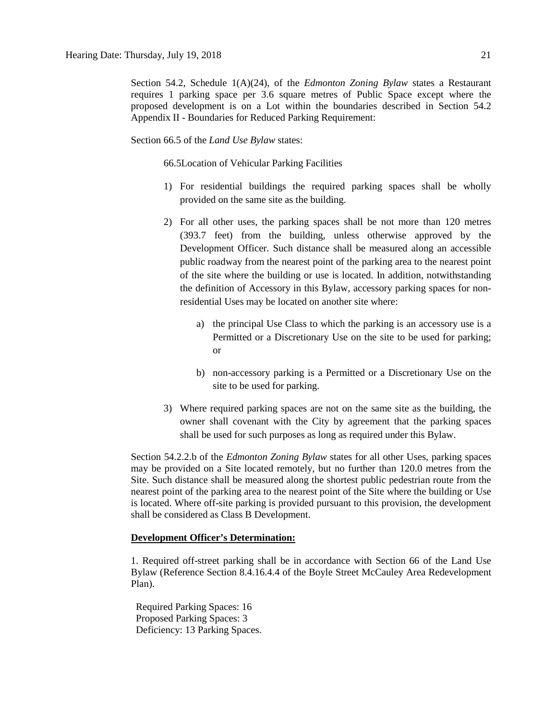Section 54.2, Schedule 1(A)(24), of the *Edmonton Zoning Bylaw* states a Restaurant requires 1 parking space per 3.6 square metres of Public Space except where the proposed development is on a Lot within the boundaries described in Section 54.2 Appendix II - Boundaries for Reduced Parking Requirement:

Section 66.5 of the *Land Use Bylaw* states:

66.5Location of Vehicular Parking Facilities

- 1) For residential buildings the required parking spaces shall be wholly provided on the same site as the building.
- 2) For all other uses, the parking spaces shall be not more than 120 metres (393.7 feet) from the building, unless otherwise approved by the Development Officer. Such distance shall be measured along an accessible public roadway from the nearest point of the parking area to the nearest point of the site where the building or use is located. In addition, notwithstanding the definition of Accessory in this Bylaw, accessory parking spaces for nonresidential Uses may be located on another site where:
	- a) the principal Use Class to which the parking is an accessory use is a Permitted or a Discretionary Use on the site to be used for parking; or
	- b) non-accessory parking is a Permitted or a Discretionary Use on the site to be used for parking.
- 3) Where required parking spaces are not on the same site as the building, the owner shall covenant with the City by agreement that the parking spaces shall be used for such purposes as long as required under this Bylaw.

Section 54.2.2.b of the *Edmonton Zoning Bylaw* states for all other Uses, parking spaces may be provided on a Site located remotely, but no further than 120.0 metres from the Site. Such distance shall be measured along the shortest public pedestrian route from the nearest point of the parking area to the nearest point of the Site where the building or Use is located. Where off-site parking is provided pursuant to this provision, the development shall be considered as Class B Development.

## **Development Officer's Determination:**

1. Required off-street parking shall be in accordance with Section 66 of the Land Use Bylaw (Reference Section 8.4.16.4.4 of the Boyle Street McCauley Area Redevelopment Plan).

 Required Parking Spaces: 16 Proposed Parking Spaces: 3 Deficiency: 13 Parking Spaces.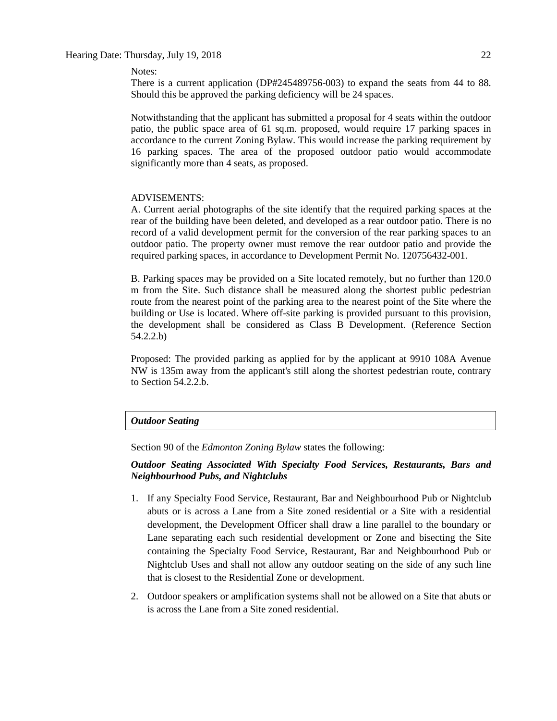## Hearing Date: Thursday, July 19, 2018 22

Notes:

There is a current application (DP#245489756-003) to expand the seats from 44 to 88. Should this be approved the parking deficiency will be 24 spaces.

Notwithstanding that the applicant has submitted a proposal for 4 seats within the outdoor patio, the public space area of 61 sq.m. proposed, would require 17 parking spaces in accordance to the current Zoning Bylaw. This would increase the parking requirement by 16 parking spaces. The area of the proposed outdoor patio would accommodate significantly more than 4 seats, as proposed.

#### ADVISEMENTS:

A. Current aerial photographs of the site identify that the required parking spaces at the rear of the building have been deleted, and developed as a rear outdoor patio. There is no record of a valid development permit for the conversion of the rear parking spaces to an outdoor patio. The property owner must remove the rear outdoor patio and provide the required parking spaces, in accordance to Development Permit No. 120756432-001.

B. Parking spaces may be provided on a Site located remotely, but no further than 120.0 m from the Site. Such distance shall be measured along the shortest public pedestrian route from the nearest point of the parking area to the nearest point of the Site where the building or Use is located. Where off-site parking is provided pursuant to this provision, the development shall be considered as Class B Development. (Reference Section 54.2.2.b)

Proposed: The provided parking as applied for by the applicant at 9910 108A Avenue NW is 135m away from the applicant's still along the shortest pedestrian route, contrary to Section 54.2.2.b.

## *Outdoor Seating*

Section 90 of the *Edmonton Zoning Bylaw* states the following:

## *Outdoor Seating Associated With Specialty Food Services, Restaurants, Bars and Neighbourhood Pubs, and Nightclubs*

- 1. If any [Specialty Food Service, Restaurant, Bar and Neighbourhood Pub](javascript:void(0);) or [Nightclub](javascript:void(0);) abuts or is across a Lane from a Site zoned residential or a Site with a residential development, the Development Officer shall draw a line parallel to the boundary or Lane separating each such residential development or Zone and bisecting the Site containing the Specialty Food Service, Restaurant, Bar and Neighbourhood Pub or Nightclub Uses and shall not allow any outdoor seating on the side of any such line that is closest to the Residential Zone or development.
- 2. Outdoor speakers or amplification systems shall not be allowed on a Site that abuts or is across the Lane from a Site zoned residential.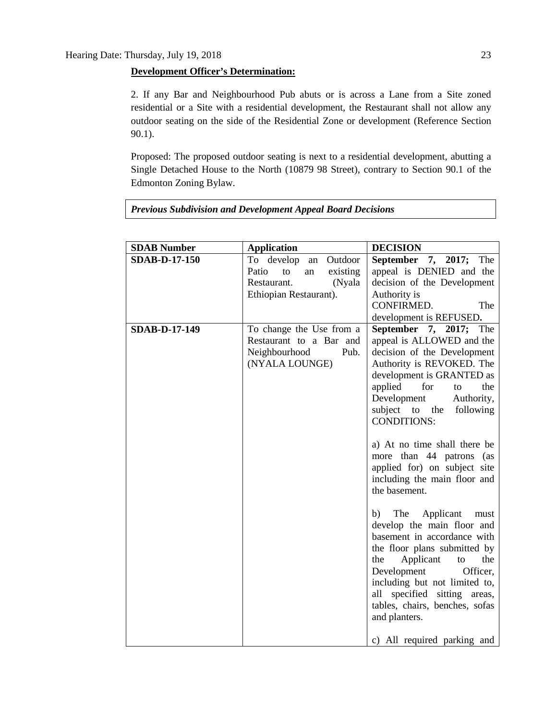## **Development Officer's Determination:**

2. If any Bar and Neighbourhood Pub abuts or is across a Lane from a Site zoned residential or a Site with a residential development, the Restaurant shall not allow any outdoor seating on the side of the Residential Zone or development (Reference Section 90.1).

Proposed: The proposed outdoor seating is next to a residential development, abutting a Single Detached House to the North (10879 98 Street), contrary to Section 90.1 of the Edmonton Zoning Bylaw.

| <b>SDAB Number</b>   | <b>Application</b>                                                                                           | <b>DECISION</b>                                                                                                                                                                                                                                                                                                                                                                                                                                                                                                                                                                                                                                                                                                     |
|----------------------|--------------------------------------------------------------------------------------------------------------|---------------------------------------------------------------------------------------------------------------------------------------------------------------------------------------------------------------------------------------------------------------------------------------------------------------------------------------------------------------------------------------------------------------------------------------------------------------------------------------------------------------------------------------------------------------------------------------------------------------------------------------------------------------------------------------------------------------------|
| <b>SDAB-D-17-150</b> | To develop<br>an Outdoor<br>Patio<br>existing<br>to<br>an<br>Restaurant.<br>(Nyala<br>Ethiopian Restaurant). | September 7, 2017; The<br>appeal is DENIED and the<br>decision of the Development<br>Authority is<br>CONFIRMED.<br>The<br>development is REFUSED.                                                                                                                                                                                                                                                                                                                                                                                                                                                                                                                                                                   |
| <b>SDAB-D-17-149</b> | To change the Use from a<br>Restaurant to a Bar and<br>Neighbourhood<br>Pub.<br>(NYALA LOUNGE)               | September 7, 2017; The<br>appeal is ALLOWED and the<br>decision of the Development<br>Authority is REVOKED. The<br>development is GRANTED as<br>applied for<br>the<br>to<br>Development<br>Authority,<br>subject to the<br>following<br><b>CONDITIONS:</b><br>a) At no time shall there be<br>more than 44 patrons (as<br>applied for) on subject site<br>including the main floor and<br>the basement.<br>The Applicant<br>b)<br>must<br>develop the main floor and<br>basement in accordance with<br>the floor plans submitted by<br>the<br>Applicant<br>the<br>to<br>Development<br>Officer,<br>including but not limited to,<br>all specified sitting areas,<br>tables, chairs, benches, sofas<br>and planters. |
|                      |                                                                                                              | c) All required parking and                                                                                                                                                                                                                                                                                                                                                                                                                                                                                                                                                                                                                                                                                         |

## *Previous Subdivision and Development Appeal Board Decisions*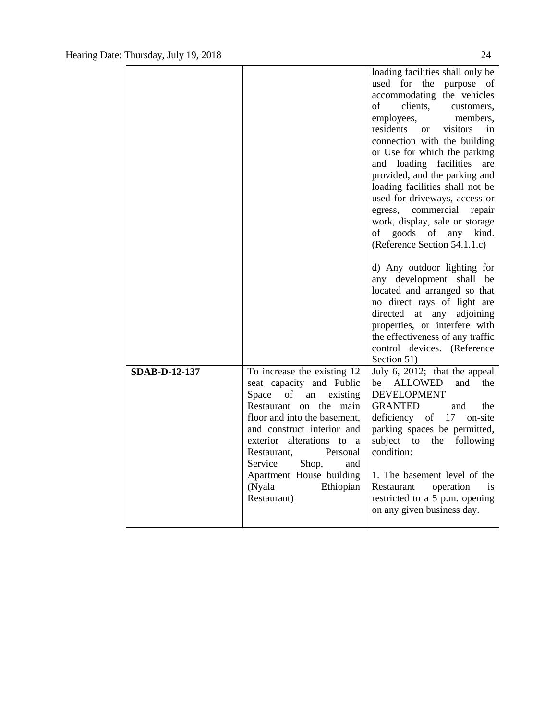|                      |                                                                                                                                                                                                                                                                                                                                       | loading facilities shall only be<br>used for the purpose of<br>accommodating the vehicles<br>of<br>clients,<br>customers,<br>employees,<br>members,<br>residents<br>visitors<br>in<br><sub>or</sub><br>connection with the building<br>or Use for which the parking<br>and loading facilities<br>are<br>provided, and the parking and<br>loading facilities shall not be<br>used for driveways, access or<br>egress, commercial<br>repair<br>work, display, sale or storage<br>of goods of any kind.<br>(Reference Section 54.1.1.c) |
|----------------------|---------------------------------------------------------------------------------------------------------------------------------------------------------------------------------------------------------------------------------------------------------------------------------------------------------------------------------------|--------------------------------------------------------------------------------------------------------------------------------------------------------------------------------------------------------------------------------------------------------------------------------------------------------------------------------------------------------------------------------------------------------------------------------------------------------------------------------------------------------------------------------------|
|                      |                                                                                                                                                                                                                                                                                                                                       | d) Any outdoor lighting for<br>any development shall be<br>located and arranged so that<br>no direct rays of light are<br>directed at any<br>adjoining<br>properties, or interfere with<br>the effectiveness of any traffic<br>control devices. (Reference<br>Section 51)                                                                                                                                                                                                                                                            |
| <b>SDAB-D-12-137</b> | To increase the existing 12<br>seat capacity and Public<br>Space<br>of<br>existing<br>an<br>Restaurant on the main<br>floor and into the basement,<br>and construct interior and<br>exterior alterations to a<br>Personal<br>Restaurant,<br>Service<br>Shop,<br>and<br>Apartment House building<br>(Nyala<br>Ethiopian<br>Restaurant) | July 6, 2012; that the appeal<br><b>ALLOWED</b><br>and<br>the<br>be<br><b>DEVELOPMENT</b><br><b>GRANTED</b><br>the<br>and<br>deficiency of 17 on-site<br>parking spaces be permitted,<br>subject to the<br>following<br>condition:<br>1. The basement level of the<br>Restaurant<br>operation<br>is<br>restricted to a 5 p.m. opening<br>on any given business day.                                                                                                                                                                  |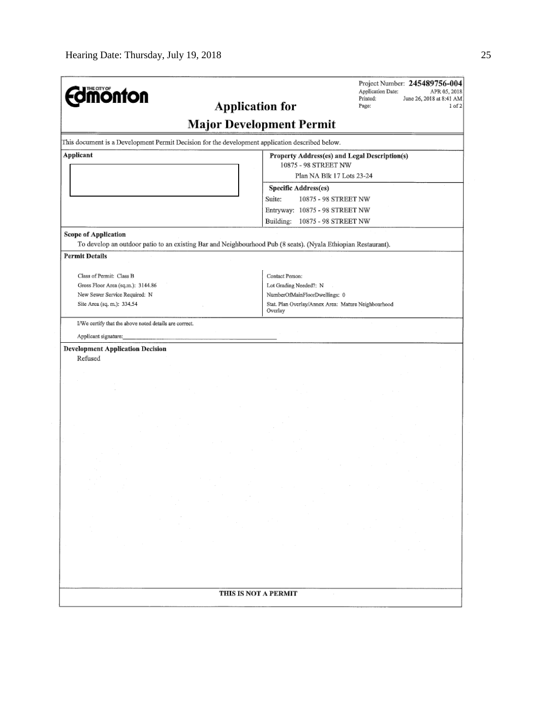| THE CITY OF<br><b>monton</b><br><b>Application for</b>                                                                                       | Project Number: 245489756-004<br>Application Date:<br>APR 05, 2018<br>Printed:<br>June 26, 2018 at 8:41 AM<br>Page:<br>1 of 2 |
|----------------------------------------------------------------------------------------------------------------------------------------------|-------------------------------------------------------------------------------------------------------------------------------|
|                                                                                                                                              | <b>Major Development Permit</b>                                                                                               |
| This document is a Development Permit Decision for the development application described below.                                              |                                                                                                                               |
| Applicant                                                                                                                                    | Property Address(es) and Legal Description(s)                                                                                 |
|                                                                                                                                              | 10875 - 98 STREET NW                                                                                                          |
|                                                                                                                                              | Plan NA Blk 17 Lots 23-24                                                                                                     |
|                                                                                                                                              | Specific Address(es)<br>Suite:<br>10875 - 98 STREET NW                                                                        |
|                                                                                                                                              | Entryway: 10875 - 98 STREET NW                                                                                                |
|                                                                                                                                              | Building: 10875 - 98 STREET NW                                                                                                |
| <b>Scope of Application</b><br>To develop an outdoor patio to an existing Bar and Neighbourhood Pub (8 seats). (Nyala Ethiopian Restaurant). |                                                                                                                               |
| <b>Permit Details</b>                                                                                                                        |                                                                                                                               |
| Class of Permit: Class B                                                                                                                     | Contact Person:                                                                                                               |
| Gross Floor Area (sq.m.): 3144.86                                                                                                            | Lot Grading Needed?: N                                                                                                        |
| New Sewer Service Required: N                                                                                                                | NumberOfMainFloorDwellings: 0                                                                                                 |
| Site Area (sq. m.): 334.54                                                                                                                   | Stat. Plan Overlay/Annex Area: Mature Neighbourhood<br>Overlay                                                                |
| I/We certify that the above noted details are correct.                                                                                       |                                                                                                                               |
| Applicant signature:                                                                                                                         |                                                                                                                               |
| <b>Development Application Decision</b><br>Refused                                                                                           |                                                                                                                               |
|                                                                                                                                              |                                                                                                                               |
|                                                                                                                                              |                                                                                                                               |
| THIS IS NOT A PERMIT                                                                                                                         |                                                                                                                               |
|                                                                                                                                              |                                                                                                                               |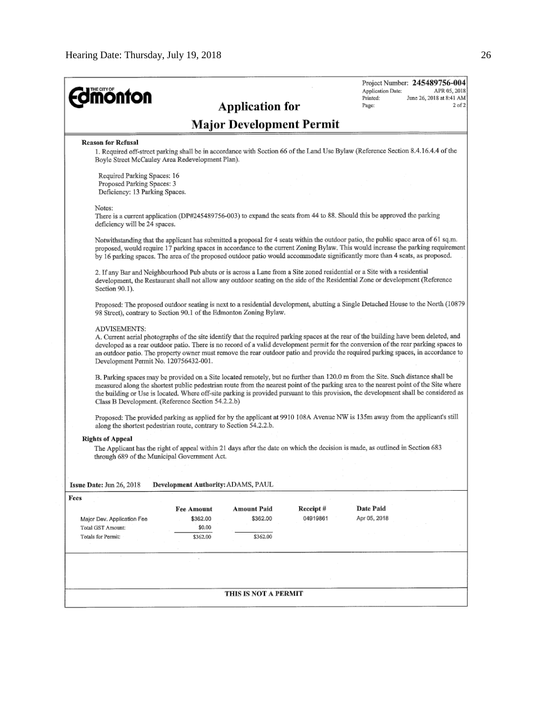| THE CITY OF<br><b>monton</b>                                                                |                                                                                                                                                                                                                                                                                                                                                                                                                                                                        |                        |                                 | Application Date:<br>Printed: | Project Number: 245489756-004<br>APR 05, 2018<br>June 26, 2018 at 8:41 AM |
|---------------------------------------------------------------------------------------------|------------------------------------------------------------------------------------------------------------------------------------------------------------------------------------------------------------------------------------------------------------------------------------------------------------------------------------------------------------------------------------------------------------------------------------------------------------------------|------------------------|---------------------------------|-------------------------------|---------------------------------------------------------------------------|
|                                                                                             |                                                                                                                                                                                                                                                                                                                                                                                                                                                                        | <b>Application for</b> |                                 | Page:                         | $2$ of $2$                                                                |
|                                                                                             |                                                                                                                                                                                                                                                                                                                                                                                                                                                                        |                        | <b>Major Development Permit</b> |                               |                                                                           |
| <b>Reason for Refusal</b>                                                                   | 1. Required off-street parking shall be in accordance with Section 66 of the Land Use Bylaw (Reference Section 8.4.16.4.4 of the<br>Boyle Street McCauley Area Redevelopment Plan).                                                                                                                                                                                                                                                                                    |                        |                                 |                               |                                                                           |
| Required Parking Spaces: 16<br>Proposed Parking Spaces: 3<br>Deficiency: 13 Parking Spaces. |                                                                                                                                                                                                                                                                                                                                                                                                                                                                        |                        |                                 |                               |                                                                           |
| Notes:<br>deficiency will be 24 spaces.                                                     | There is a current application (DP#245489756-003) to expand the seats from 44 to 88. Should this be approved the parking                                                                                                                                                                                                                                                                                                                                               |                        |                                 |                               |                                                                           |
|                                                                                             | Notwithstanding that the applicant has submitted a proposal for 4 seats within the outdoor patio, the public space area of 61 sq.m.<br>proposed, would require 17 parking spaces in accordance to the current Zoning Bylaw. This would increase the parking requirement<br>by 16 parking spaces. The area of the proposed outdoor patio would accommodate significantly more than 4 seats, as proposed.                                                                |                        |                                 |                               |                                                                           |
| Section 90.1).                                                                              | 2. If any Bar and Neighbourhood Pub abuts or is across a Lane from a Site zoned residential or a Site with a residential<br>development, the Restaurant shall not allow any outdoor seating on the side of the Residential Zone or development (Reference                                                                                                                                                                                                              |                        |                                 |                               |                                                                           |
|                                                                                             | Proposed: The proposed outdoor seating is next to a residential development, abutting a Single Detached House to the North (10879<br>98 Street), contrary to Section 90.1 of the Edmonton Zoning Bylaw.                                                                                                                                                                                                                                                                |                        |                                 |                               |                                                                           |
| <b>ADVISEMENTS:</b><br>Development Permit No. 120756432-001.                                | A. Current aerial photographs of the site identify that the required parking spaces at the rear of the building have been deleted, and<br>developed as a rear outdoor patio. There is no record of a valid development permit for the conversion of the rear parking spaces to<br>an outdoor patio. The property owner must remove the rear outdoor patio and provide the required parking spaces, in accordance to                                                    |                        |                                 |                               |                                                                           |
|                                                                                             | B. Parking spaces may be provided on a Site located remotely, but no further than 120.0 m from the Site. Such distance shall be<br>measured along the shortest public pedestrian route from the nearest point of the parking area to the nearest point of the Site where<br>the building or Use is located. Where off-site parking is provided pursuant to this provision, the development shall be considered as<br>Class B Development. (Reference Section 54.2.2.b) |                        |                                 |                               |                                                                           |
|                                                                                             | Proposed: The provided parking as applied for by the applicant at 9910 108A Avenue NW is 135m away from the applicant's still<br>along the shortest pedestrian route, contrary to Section 54.2.2.b.                                                                                                                                                                                                                                                                    |                        |                                 |                               |                                                                           |
| <b>Rights of Appeal</b>                                                                     | The Applicant has the right of appeal within 21 days after the date on which the decision is made, as outlined in Section 683<br>through 689 of the Municipal Government Act.                                                                                                                                                                                                                                                                                          |                        |                                 |                               |                                                                           |
| Issue Date: Jun 26, 2018                                                                    | Development Authority: ADAMS, PAUL                                                                                                                                                                                                                                                                                                                                                                                                                                     |                        |                                 |                               |                                                                           |
| Fees                                                                                        |                                                                                                                                                                                                                                                                                                                                                                                                                                                                        |                        |                                 |                               |                                                                           |
|                                                                                             | <b>Fee Amount</b>                                                                                                                                                                                                                                                                                                                                                                                                                                                      | <b>Amount Paid</b>     | Receipt#                        | Date Paid                     |                                                                           |
| Major Dev. Application Fee                                                                  | \$362.00                                                                                                                                                                                                                                                                                                                                                                                                                                                               | \$362.00               | 04919861                        | Apr 05, 2018                  |                                                                           |
| Total GST Amount:<br>Totals for Permit:                                                     | \$0.00<br>\$362.00                                                                                                                                                                                                                                                                                                                                                                                                                                                     | \$362.00               |                                 |                               |                                                                           |
|                                                                                             |                                                                                                                                                                                                                                                                                                                                                                                                                                                                        |                        |                                 |                               |                                                                           |
|                                                                                             |                                                                                                                                                                                                                                                                                                                                                                                                                                                                        | THIS IS NOT A PERMIT   |                                 |                               |                                                                           |
|                                                                                             |                                                                                                                                                                                                                                                                                                                                                                                                                                                                        |                        |                                 |                               |                                                                           |